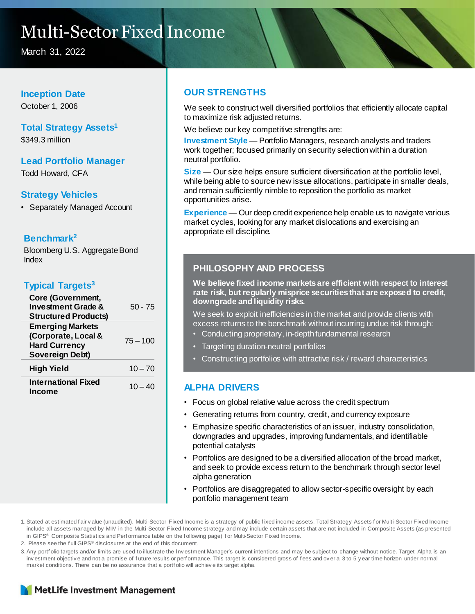## Multi-Sector Fixed Income

March 31, 2022

#### **Inception Date**

October 1, 2006

### **Total Strategy Assets<sup>1</sup>**

\$349.3 million

#### **Lead Portfolio Manager** Todd Howard, CFA

#### **Strategy Vehicles**

• Separately Managed Account

#### **Benchmark<sup>2</sup>**

Bloomberg U.S. Aggregate Bond Index

#### **Typical Targets<sup>3</sup>**

| Core (Government,<br><b>Investment Grade &amp;</b><br><b>Structured Products)</b>         | 50 - 75    |
|-------------------------------------------------------------------------------------------|------------|
| <b>Emerging Markets</b><br>(Corporate, Local &<br><b>Hard Currency</b><br>Sovereign Debt) | $75 - 100$ |
| High Yield                                                                                | $10 - 70$  |
| <b>International Fixed</b><br>Income                                                      | $10 - 40$  |

#### **OUR STRENGTHS**

We seek to construct well diversified portfolios that efficiently allocate capital to maximize risk adjusted returns.

We believe our key competitive strengths are:

**Investment Style** — Portfolio Managers, research analysts and traders work together; focused primarily on security selection within a duration neutral portfolio.

**Size** — Our size helps ensure sufficient diversification at the portfolio level, while being able to source new issue allocations, participate in smaller deals, and remain sufficiently nimble to reposition the portfolio as market opportunities arise.

**Experience** — Our deep credit experience help enable us to navigate various market cycles, looking for any market dislocations and exercising an appropriate ell discipline.

#### **PHILOSOPHY AND PROCESS**

**We believe fixed income markets are efficient with respect to interest rate risk, but regularly misprice securities that are exposed to credit, downgrade and liquidity risks.** 

We seek to exploit inefficiencies in the market and provide clients with excess returns to the benchmark without incurring undue risk through:

- Conducting proprietary, in-depth fundamental research
- Targeting duration-neutral portfolios
- Constructing portfolios with attractive risk / reward characteristics

#### **ALPHA DRIVERS**

- Focus on global relative value across the credit spectrum
- Generating returns from country, credit, and currency exposure
- Emphasize specific characteristics of an issuer, industry consolidation, downgrades and upgrades, improving fundamentals, and identifiable potential catalysts
- Portfolios are designed to be a diversified allocation of the broad market, and seek to provide excess return to the benchmark through sector level alpha generation
- Portfolios are disaggregated to allow sector-specific oversight by each portfolio management team

2. Please see the f ull GIPS® disclosures at the end of this document.

<sup>3.</sup>Any portf olio targets and/or limits are used to illustrate the Inv estment Manager's current intentions and may be subject to change without notice. Target Alpha is an inv estment objective and not a promise of future results or performance. This target is considered gross of fees and over a 3 to 5 y ear time horizon under normal market conditions. There can be no assurance that a portf olio will achiev e its target alpha.



<sup>1.</sup>Stated at estimated f air v alue (unaudited). Multi-Sector Fixed Income is a strategy of public f ixed income assets. Total Strategy Assets f or Multi-Sector Fixed Income include all assets managed by MIM in the Multi-Sector Fixed Income strategy and may include certain assets that are not included in Composite Assets (as presented in GIPS® Composite Statistics and Perf ormance table on the following page) for Multi-Sector Fixed Income.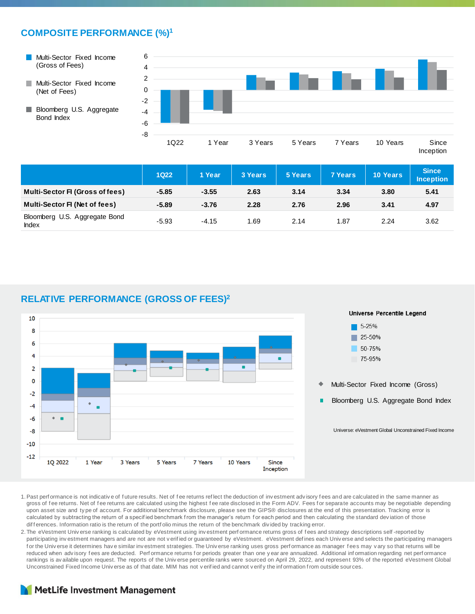#### **COMPOSITE PERFORMANCE (%)<sup>1</sup>**

- Multi-Sector Fixed Income (Gross of Fees)
- **Multi-Sector Fixed Income** (Net of Fees)
- **Bloomberg U.S. Aggregate** Bond Index



|                                               | <b>1Q22</b> | 1 Year  | 3 Years | <b>5 Years</b> | <b>7 Years</b> | <b>10 Years</b> | <b>Since</b><br><b>Inception</b> |
|-----------------------------------------------|-------------|---------|---------|----------------|----------------|-----------------|----------------------------------|
| <b>Multi-Sector FI (Gross of fees)</b>        | $-5.85$     | $-3.55$ | 2.63    | 3.14           | 3.34           | 3.80            | 5.41                             |
| <b>Multi-Sector FI (Net of fees)</b>          | $-5.89$     | $-3.76$ | 2.28    | 2.76           | 2.96           | 3.41            | 4.97                             |
| Bloomberg U.S. Aggregate Bond<br><b>Index</b> | $-5.93$     | $-4.15$ | .69     | 2.14           | 1.87           | 2.24            | 3.62                             |

#### **RELATIVE PERFORMANCE (GROSS OF FEES)<sup>2</sup>**



- 1.Past perf ormance is not indicativ e of f uture results. Net of f ee returns ref lect the deduction of inv estment adv isory f ees and are calculated in the same manner as gross of fee returns. Net of fee returns are calculated using the highest fee rate disclosed in the Form ADV. Fees for separate accounts may be negotiable depending upon asset size and ty pe of account. For additional benchmark disclosure, please see the GIPS® disclosures at the end of this presentation. Tracking error is calculated by subtracting the return of a specified benchmark from the manager's return for each period and then calculating the standard deviation of those dif f erences. Information ratio is the return of the portf olio minus the return of the benchmark divided by tracking error.
- 2. The eVestment Univ erse ranking is calculated by eVestment using investment perf ormance returns gross of fees and strategy descriptions self-reported by participating investment managers and are not are not verified or quaranteed by eVestment. eVestment defines each Universe and selects the participating managers for the Universe it determines have similar investment strategies. The Universe ranking uses gross performance as manager fees may vary so that returns will be reduced when advisory fees are deducted. Performance returns for periods greater than one y ear are annualized. Additional information regarding net performance rankings is av ailable upon request. The reports of the Universe percentile ranks were sourced on April 29, 2022, and represent 93% of the reported eVestment Global Unconstrained Fixed Income Univ erse as of that date. MIM has not v erif ied and cannot v erif y the inf ormation f rom outside sources.

#### MetLife Investment Management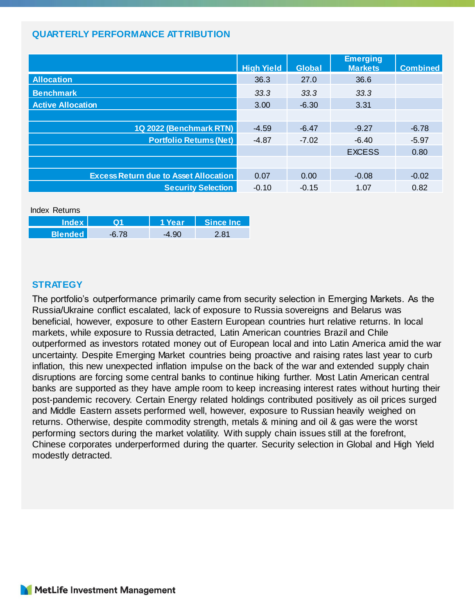#### **QUARTERLY PERFORMANCE ATTRIBUTION**

|                                              | <b>High Yield</b> | <b>Global</b> | <b>Emerging</b><br><b>Markets</b> | <b>Combined</b> |
|----------------------------------------------|-------------------|---------------|-----------------------------------|-----------------|
| <b>Allocation</b>                            | 36.3              | 27.0          | 36.6                              |                 |
| <b>Benchmark</b>                             | 33.3              | 33.3          | 33.3                              |                 |
| <b>Active Allocation</b>                     | 3.00              | $-6.30$       | 3.31                              |                 |
|                                              |                   |               |                                   |                 |
| 1Q 2022 (Benchmark RTN)                      | $-4.59$           | $-6.47$       | $-9.27$                           | $-6.78$         |
| <b>Portfolio Returns (Net)</b>               | $-4.87$           | $-7.02$       | $-6.40$                           | $-5.97$         |
|                                              |                   |               | <b>EXCESS</b>                     | 0.80            |
|                                              |                   |               |                                   |                 |
| <b>Excess Return due to Asset Allocation</b> | 0.07              | 0.00          | $-0.08$                           | $-0.02$         |
| <b>Security Selection</b>                    | $-0.10$           | $-0.15$       | 1.07                              | 0.82            |

| Index Returns  |           |               |                           |  |  |  |  |
|----------------|-----------|---------------|---------------------------|--|--|--|--|
| <b>Index</b>   | <u>ດ1</u> | <b>1 Year</b> | $\blacksquare$ Since Inc. |  |  |  |  |
| <b>Blended</b> | $-6.78$   | $-4.90$       | 2.81                      |  |  |  |  |

#### **STRATEGY**

The portfolio's outperformance primarily came from security selection in Emerging Markets. As the Russia/Ukraine conflict escalated, lack of exposure to Russia sovereigns and Belarus was beneficial, however, exposure to other Eastern European countries hurt relative returns. In local markets, while exposure to Russia detracted, Latin American countries Brazil and Chile outperformed as investors rotated money out of European local and into Latin America amid the war uncertainty. Despite Emerging Market countries being proactive and raising rates last year to curb inflation, this new unexpected inflation impulse on the back of the war and extended supply chain disruptions are forcing some central banks to continue hiking further. Most Latin American central banks are supported as they have ample room to keep increasing interest rates without hurting their post-pandemic recovery. Certain Energy related holdings contributed positively as oil prices surged and Middle Eastern assets performed well, however, exposure to Russian heavily weighed on returns. Otherwise, despite commodity strength, metals & mining and oil & gas were the worst performing sectors during the market volatility. With supply chain issues still at the forefront, Chinese corporates underperformed during the quarter. Security selection in Global and High Yield modestly detracted.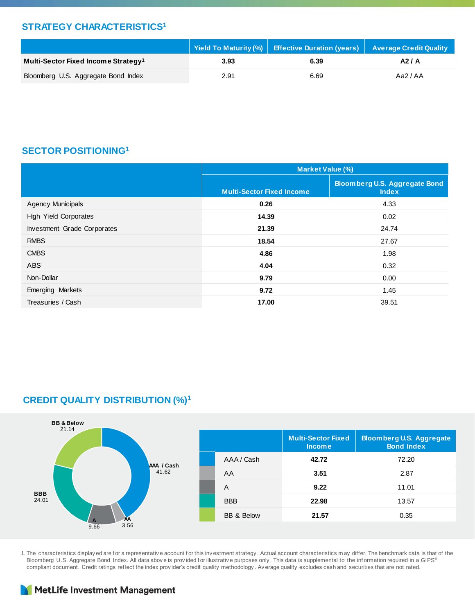#### **STRATEGY CHARACTERISTICS<sup>1</sup>**

|                                                 |      | Yield To Maturity (%)   Effective Duration (years)   Average Credit Quality |          |
|-------------------------------------------------|------|-----------------------------------------------------------------------------|----------|
| Multi-Sector Fixed Income Strategy <sup>1</sup> | 3.93 | 6.39                                                                        | A2/A     |
| Bloomberg U.S. Aggregate Bond Index             | 2.91 | 6.69                                                                        | Aa2 / AA |

#### **SECTOR POSITIONING<sup>1</sup>**

|                              | <b>Market Value (%)</b>          |                                                      |  |  |  |
|------------------------------|----------------------------------|------------------------------------------------------|--|--|--|
|                              | <b>Multi-Sector Fixed Income</b> | <b>Bloomberg U.S. Aggregate Bond</b><br><b>Index</b> |  |  |  |
| <b>Agency Municipals</b>     | 0.26                             | 4.33                                                 |  |  |  |
| <b>High Yield Corporates</b> | 14.39                            | 0.02                                                 |  |  |  |
| Investment Grade Corporates  | 21.39                            | 24.74                                                |  |  |  |
| <b>RMBS</b>                  | 18.54                            | 27.67                                                |  |  |  |
| <b>CMBS</b>                  | 4.86                             | 1.98                                                 |  |  |  |
| <b>ABS</b>                   | 4.04                             | 0.32                                                 |  |  |  |
| Non-Dollar                   | 9.79                             | 0.00                                                 |  |  |  |
| Emerging Markets             | 9.72                             | 1.45                                                 |  |  |  |
| Treasuries / Cash            | 17.00                            | 39.51                                                |  |  |  |

### **CREDIT QUALITY DISTRIBUTION (%)<sup>1</sup>**



1. The characteristics display ed are for a representative account for this investment strategy. Actual account characteristics may differ. The benchmark data is that of the Bloomberg U.S. Aggregate Bond Index. All data above is provided for illustrative purposes only. This data is supplemental to the information required in a GIPS® compliant document. Credit ratings ref lect the index prov ider's credit quality methodology . Av erage quality excludes cash and securities that are not rated.

#### MetLife Investment Management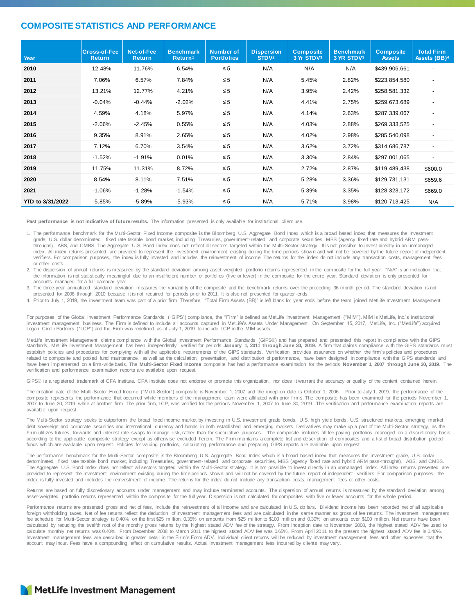#### **COMPOSITE STATISTICS AND PERFORMANCE**

| Year             | Gross-of-Fee<br><b>Return</b> | Net-of-Fee<br><b>Return</b> | <b>Benchmark</b><br>Return <sup>1</sup> | <b>Number of</b><br><b>Portfolios</b> | <b>Dispersion</b><br>STDV <sup>2</sup> | <b>Composite</b><br>3 Yr STDV3 | <b>Benchmark</b><br>3 YR STDV3 | <b>Composite</b><br><b>Assets</b> | <b>Total Firm</b><br>Assets (BB) <sup>4</sup> |
|------------------|-------------------------------|-----------------------------|-----------------------------------------|---------------------------------------|----------------------------------------|--------------------------------|--------------------------------|-----------------------------------|-----------------------------------------------|
| 2010             | 12.48%                        | 11.76%                      | 6.54%                                   | $\leq 5$                              | N/A                                    | N/A                            | N/A                            | \$439,906,661                     |                                               |
| 2011             | 7.06%                         | 6.57%                       | 7.84%                                   | $\leq 5$                              | N/A                                    | 5.45%                          | 2.82%                          | \$223,854,580                     | $\overline{\phantom{a}}$                      |
| 2012             | 13.21%                        | 12.77%                      | 4.21%                                   | $\leq 5$                              | N/A                                    | 3.95%                          | 2.42%                          | \$258,581,332                     | $\overline{\phantom{a}}$                      |
| 2013             | $-0.04%$                      | $-0.44%$                    | $-2.02%$                                | $\leq 5$                              | N/A                                    | 4.41%                          | 2.75%                          | \$259,673,689                     | $\overline{a}$                                |
| 2014             | 4.59%                         | 4.18%                       | 5.97%                                   | $\leq 5$                              | N/A                                    | 4.14%                          | 2.63%                          | \$287,339,067                     | $\overline{\phantom{a}}$                      |
| 2015             | $-2.06%$                      | $-2.45%$                    | 0.55%                                   | $\leq 5$                              | N/A                                    | 4.03%                          | 2.88%                          | \$269,333,525                     | $\overline{\phantom{a}}$                      |
| 2016             | 9.35%                         | 8.91%                       | 2.65%                                   | $\leq 5$                              | N/A                                    | 4.02%                          | 2.98%                          | \$285,540,098                     |                                               |
| 2017             | 7.12%                         | 6.70%                       | 3.54%                                   | $\leq 5$                              | N/A                                    | 3.62%                          | 3.72%                          | \$314,686,787                     | $\overline{\phantom{a}}$                      |
| 2018             | $-1.52%$                      | $-1.91%$                    | 0.01%                                   | $\leq 5$                              | N/A                                    | 3.30%                          | 2.84%                          | \$297,001,065                     | $\overline{\phantom{a}}$                      |
| 2019             | 11.75%                        | 11.31%                      | 8.72%                                   | $\leq 5$                              | N/A                                    | 2.72%                          | 2.87%                          | \$119,489,438                     | \$600.0                                       |
| 2020             | 8.54%                         | 8.11%                       | 7.51%                                   | $\leq 5$                              | N/A                                    | 5.28%                          | 3.36%                          | \$129,731,131                     | \$659.6                                       |
| 2021             | $-1.06%$                      | $-1.28%$                    | $-1.54%$                                | $\leq 5$                              | N/A                                    | 5.39%                          | 3.35%                          | \$128,323,172                     | \$669.0                                       |
| YTD to 3/31/2022 | $-5.85%$                      | $-5.89%$                    | $-5.93%$                                | $\leq 5$                              | N/A                                    | 5.71%                          | 3.98%                          | \$120,713,425                     | N/A                                           |

**Past performance is not indicative of future results.** The information presented is only available for institutional client use.

1. The performance benchmark for the Multi-Sector Fixed Income composite is the Bloomberg U.S. Aggregate Bond Index which is a broad based index that measures the investment grade, U.S. dollar denominated, fixed rate taxable bond market, including Treasuries, government-related and corporate securities, MBS (agency fixed rate and hybrid ARM passthroughs), ABS, and CMBS. The Aggregate U.S. Bond Index does not reflect all sectors targeted within the Multi-Sector strategy. It is not possible to invest directly in an unmanaged index. All index returns presented are provided to represent the investment environment existing during the time periods shown and will not be covered by the future report of independent verifiers. For comparison purposes, the index is fully invested and includes the reinvestment of income. The returns for the index do not include any transaction costs, management fees or other costs.

2. The dispersion of annual returns is measured by the standard deviation among asset-weighted portfolio returns represented in the composite for the full year. "N/A" is an indication that the information is not statistically meaningful due to an insufficient number of portfolios (five or fewer) in the composite for the entire year. Standard deviation is only presented for accounts managed for a full calendar year

3. The three-year annualized standard deviation measures the variability of the composite and the benchmark returns over the preceding 36 month period. The standard deviation is not presented for 2006 through 2010 because it is not required for periods prior to 2011. It is also not presented for quarter-ends.

4. Prior to July 1, 2019, the investment team was part of a prior firm. Therefore, "Total Firm Assets (BB)" is left blank for year ends before the team joined MetLife Investment Management.

For purposes of the Global Investment Performance Standards ("GIPS") compliance, the "Firm" is defined as MetLife Investment Management ("MIM"). MIM is MetLife, Inc.'s institutional investment management business. The Firm is defined to include all accounts captured in MetLife's Assets Under Management. On September 15, 2017, MetLife, Inc. ("MetLife") acquired Logan Circle Partners ("LCP") and the Firm was redefined as of July 1, 2019 to include LCP in the MIM assets.

MetLife Investment Management claims compliance with the Global Investment Performance Standards (GIPS®) and has prepared and presented this report in compliance with the GIPS standards. MetLife Investment Management has been independently verified for periods **January 1, 2011 through June 30, 2019.** A firm that claims compliance with the GIPS standards must establish policies and procedures for complying with all the applicable requirements of the GIPS standards. Verification provides assurance on whether the firm's policies and procedures related to composite and pooled fund maintenance, as well as the calculation, presentation, and distribution of performance, have been designed in compliance with the GIPS standards and have been implemented on a firm-wide basis. The **Multi-Sector Fixed Income** composite has had a performance examination for the periods **November 1, 2007 through June 30, 2019**. The verification and performance examination reports are available upon request.

GIPS® is a registered trademark of CFA Institute. CFA Institute does not endorse or promote this organization, nor does it warrant the accuracy or quality of the content contained herein.

The creation date of the Multi-Sector Fixed Income ("Multi-Sector") composite is November 1, 2007 and the inception date is October 1, 2006. Prior to July 1, 2019, the performance of the composite represents the performance that occurred while members of the management team were affiliated with prior firms. The composite has been examined for the periods November 1, 2007 to June 30, 2019 while at another firm. The prior firm, LCP, was verified for the periods November 1, 2007 to June 30, 2019. The verification and performance examination reports are available upon request.

The Multi-Sector strategy seeks to outperform the broad fixed income market by investing in U.S. investment grade bonds, U.S. high yield bonds, U.S. structured markets, emerging market debt sovereign and corporate securities and international currency and bonds in both established and emerging markets. Derivatives may make up a part of the Multi-Sector strategy, as the Firm utilizes futures, forwards and interest rate swaps to manage risk, rather than for speculative purposes. The composite includes all fee-paying portfolios managed on a discretionary basis according to the applicable composite strategy except as otherwise excluded herein. The Firm maintains a complete list and description of composites and a list of broad distribution pooled<br>funds which are available upon re

The performance benchmark for the Multi-Sector composite is the Bloomberg U.S. Aggregate Bond Index which is a broad based index that measures the investment grade, U.S. dollar<br>denominated, fixed rate taxable bond market, The Aggregate U.S. Bond Index does not reflect all sectors targeted within the Multi-Sector strategy. It is not possible to invest directly in an unmanaged index. All index returns presented are provided to represent the investment environment existing during the time periods shown and will not be covered by the future report of independent verifiers. For comparison purposes, the index is fully invested and includes the reinvestment of income. The returns for the index do not include any transaction costs, management fees or other costs.

Returns are based on fully discretionary accounts under management and may include terminated accounts. The dispersion of annual returns is measured by the standard deviation among asset-weighted portfolio returns represented within the composite for the full year. Dispersion is not calculated for composites with five or fewer accounts for the whole period.

Performance returns are presented gross and net of fees, include the reinvestment of all income and are calculated in U.S. dollars. Dividend income has been recorded net of all applicable foreign withholding taxes. Net of fee returns reflect the deduction of investment management fees and are calculated in the same manner as gross of fee returns. The investment management fee schedule for Multi-Sector strategy is 0.40% on the first \$25 million, 0.35% on amounts from \$25 million to \$100 million and 0.30% on amounts over \$100 million. Net returns have been calculated by reducing the twelfth root of the monthly gross returns by the highest stated ADV fee of the strategy. From inception date to November 2008, the highest stated ADV fee used to calculate monthly net returns was 0.40%. From December 2008 to March 2011 the highest stated ADV fee was 0.65%. From April 2011 to the present the highest stated ADV fee is 0.40%. Investment management fees are described in greater detail in the Firm's Form ADV. Individual client returns will be reduced by investment management fees and other expenses that the account may incur. Fees have a compounding effect on cumulative results. Actual investment management fees incurred by clients may vary.